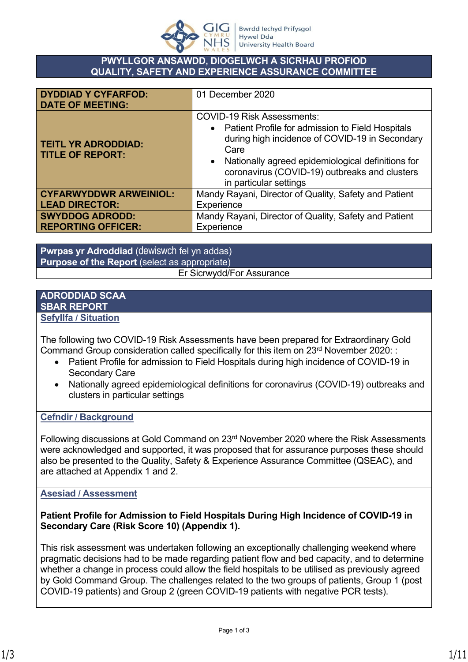

## **PWYLLGOR ANSAWDD, DIOGELWCH A SICRHAU PROFIOD QUALITY, SAFETY AND EXPERIENCE ASSURANCE COMMITTEE**

| <b>DYDDIAD Y CYFARFOD:</b><br><b>DATE OF MEETING:</b> | 01 December 2020                                                                                                                                                                                                                                                                    |  |
|-------------------------------------------------------|-------------------------------------------------------------------------------------------------------------------------------------------------------------------------------------------------------------------------------------------------------------------------------------|--|
| <b>TEITL YR ADRODDIAD:</b><br><b>TITLE OF REPORT:</b> | <b>COVID-19 Risk Assessments:</b><br>• Patient Profile for admission to Field Hospitals<br>during high incidence of COVID-19 in Secondary<br>Care<br>• Nationally agreed epidemiological definitions for<br>coronavirus (COVID-19) outbreaks and clusters<br>in particular settings |  |
| <b>CYFARWYDDWR ARWEINIOL:</b>                         | Mandy Rayani, Director of Quality, Safety and Patient                                                                                                                                                                                                                               |  |
| <b>LEAD DIRECTOR:</b>                                 | Experience                                                                                                                                                                                                                                                                          |  |
| <b>SWYDDOG ADRODD:</b>                                | Mandy Rayani, Director of Quality, Safety and Patient                                                                                                                                                                                                                               |  |
| <b>REPORTING OFFICER:</b>                             | Experience                                                                                                                                                                                                                                                                          |  |

**Pwrpas yr Adroddiad** (dewiswch fel yn addas) **Purpose of the Report** (select as appropriate) Er Sicrwydd/For Assurance

### **ADRODDIAD SCAA SBAR REPORT Sefyllfa / Situation**

The following two COVID-19 Risk Assessments have been prepared for Extraordinary Gold Command Group consideration called specifically for this item on 23<sup>rd</sup> November 2020: :

- Patient Profile for admission to Field Hospitals during high incidence of COVID-19 in Secondary Care
- Nationally agreed epidemiological definitions for coronavirus (COVID-19) outbreaks and clusters in particular settings

## **Cefndir / Background**

Following discussions at Gold Command on 23rd November 2020 where the Risk Assessments were acknowledged and supported, it was proposed that for assurance purposes these should also be presented to the Quality, Safety & Experience Assurance Committee (QSEAC), and are attached at Appendix 1 and 2.

## **Asesiad / Assessment**

## **Patient Profile for Admission to Field Hospitals During High Incidence of COVID-19 in Secondary Care (Risk Score 10) (Appendix 1).**

This risk assessment was undertaken following an exceptionally challenging weekend where pragmatic decisions had to be made regarding patient flow and bed capacity, and to determine whether a change in process could allow the field hospitals to be utilised as previously agreed by Gold Command Group. The challenges related to the two groups of patients, Group 1 (post COVID-19 patients) and Group 2 (green COVID-19 patients with negative PCR tests).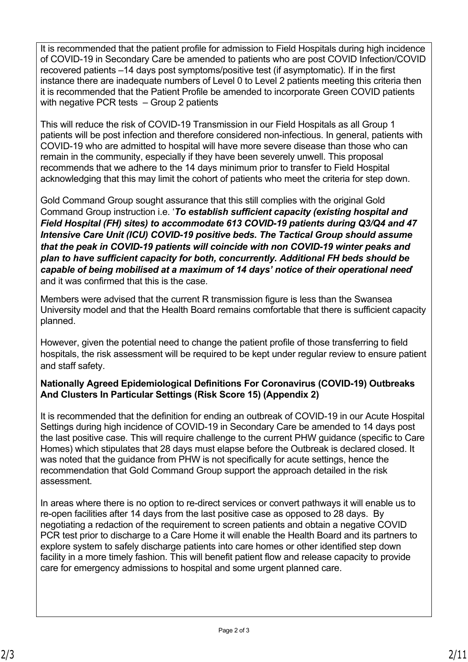It is recommended that the patient profile for admission to Field Hospitals during high incidence of COVID-19 in Secondary Care be amended to patients who are post COVID Infection/COVID recovered patients –14 days post symptoms/positive test (if asymptomatic). If in the first instance there are inadequate numbers of Level 0 to Level 2 patients meeting this criteria then it is recommended that the Patient Profile be amended to incorporate Green COVID patients with negative PCR tests – Group 2 patients

This will reduce the risk of COVID-19 Transmission in our Field Hospitals as all Group 1 patients will be post infection and therefore considered non-infectious. In general, patients with COVID-19 who are admitted to hospital will have more severe disease than those who can remain in the community, especially if they have been severely unwell. This proposal recommends that we adhere to the 14 days minimum prior to transfer to Field Hospital acknowledging that this may limit the cohort of patients who meet the criteria for step down.

Gold Command Group sought assurance that this still complies with the original Gold Command Group instruction i.e. '*To establish sufficient capacity (existing hospital and Field Hospital (FH) sites) to accommodate 613 COVID-19 patients during Q3/Q4 and 47 Intensive Care Unit (ICU) COVID-19 positive beds. The Tactical Group should assume that the peak in COVID-19 patients will coincide with non COVID-19 winter peaks and plan to have sufficient capacity for both, concurrently. Additional FH beds should be capable of being mobilised at a maximum of 14 days' notice of their operational need*' and it was confirmed that this is the case.

Members were advised that the current R transmission figure is less than the Swansea University model and that the Health Board remains comfortable that there is sufficient capacity planned.

However, given the potential need to change the patient profile of those transferring to field hospitals, the risk assessment will be required to be kept under regular review to ensure patient and staff safety.

## **Nationally Agreed Epidemiological Definitions For Coronavirus (COVID-19) Outbreaks And Clusters In Particular Settings (Risk Score 15) (Appendix 2)**

It is recommended that the definition for ending an outbreak of COVID-19 in our Acute Hospital Settings during high incidence of COVID-19 in Secondary Care be amended to 14 days post the last positive case. This will require challenge to the current PHW guidance (specific to Care Homes) which stipulates that 28 days must elapse before the Outbreak is declared closed. It was noted that the guidance from PHW is not specifically for acute settings, hence the recommendation that Gold Command Group support the approach detailed in the risk assessment.

In areas where there is no option to re-direct services or convert pathways it will enable us to re-open facilities after 14 days from the last positive case as opposed to 28 days. By negotiating a redaction of the requirement to screen patients and obtain a negative COVID PCR test prior to discharge to a Care Home it will enable the Health Board and its partners to explore system to safely discharge patients into care homes or other identified step down facility in a more timely fashion. This will benefit patient flow and release capacity to provide care for emergency admissions to hospital and some urgent planned care.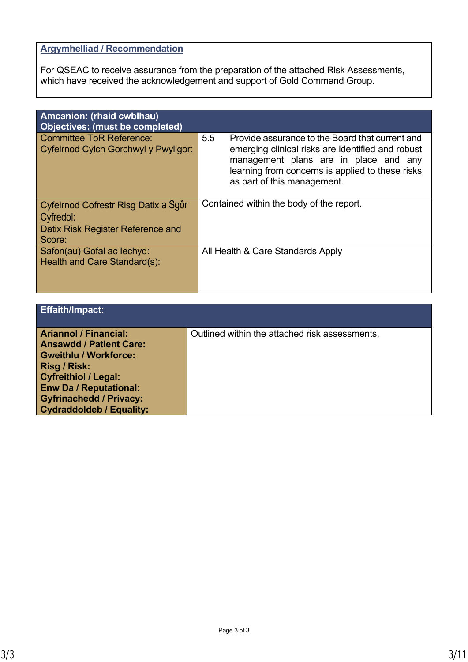# **Argymhelliad / Recommendation**

For QSEAC to receive assurance from the preparation of the attached Risk Assessments, which have received the acknowledgement and support of Gold Command Group.

| Amcanion: (rhaid cwblhau)<br><b>Objectives: (must be completed)</b>                              |                                                                                                                                                                                                                                         |
|--------------------------------------------------------------------------------------------------|-----------------------------------------------------------------------------------------------------------------------------------------------------------------------------------------------------------------------------------------|
| <b>Committee ToR Reference:</b><br>Cyfeirnod Cylch Gorchwyl y Pwyllgor:                          | 5.5<br>Provide assurance to the Board that current and<br>emerging clinical risks are identified and robust<br>management plans are in place and any<br>learning from concerns is applied to these risks<br>as part of this management. |
| Cyfeirnod Cofrestr Risg Datix a Sgôr<br>Cyfredol:<br>Datix Risk Register Reference and<br>Score: | Contained within the body of the report.                                                                                                                                                                                                |
| Safon(au) Gofal ac lechyd:<br>Health and Care Standard(s):                                       | All Health & Care Standards Apply                                                                                                                                                                                                       |

| <b>Effaith/Impact:</b>                                                                                                                                                                                                                                     |                                                |
|------------------------------------------------------------------------------------------------------------------------------------------------------------------------------------------------------------------------------------------------------------|------------------------------------------------|
| <b>Ariannol / Financial:</b><br><b>Ansawdd / Patient Care:</b><br><b>Gweithlu / Workforce:</b><br><b>Risg / Risk:</b><br><b>Cyfreithiol / Legal:</b><br><b>Enw Da / Reputational:</b><br><b>Gyfrinachedd / Privacy:</b><br><b>Cydraddoldeb / Equality:</b> | Outlined within the attached risk assessments. |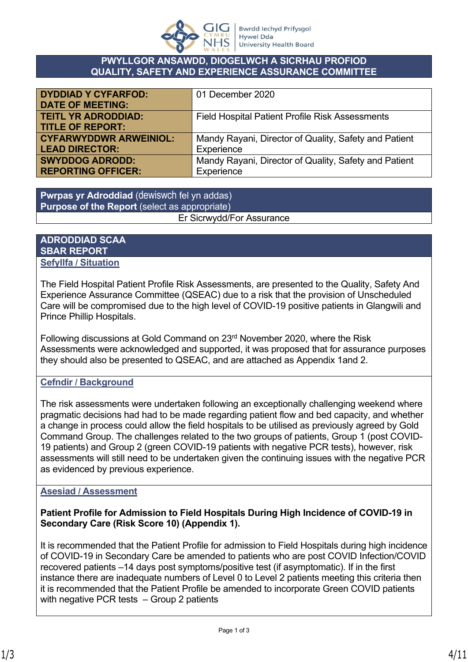

### **PWYLLGOR ANSAWDD, DIOGELWCH A SICRHAU PROFIOD QUALITY, SAFETY AND EXPERIENCE ASSURANCE COMMITTEE**

| <b>DYDDIAD Y CYFARFOD:</b>    | 01 December 2020                                       |
|-------------------------------|--------------------------------------------------------|
| <b>DATE OF MEETING:</b>       |                                                        |
| <b>TEITL YR ADRODDIAD:</b>    | <b>Field Hospital Patient Profile Risk Assessments</b> |
| <b>TITLE OF REPORT:</b>       |                                                        |
| <b>CYFARWYDDWR ARWEINIOL:</b> | Mandy Rayani, Director of Quality, Safety and Patient  |
| <b>LEAD DIRECTOR:</b>         | Experience                                             |
| <b>SWYDDOG ADRODD:</b>        | Mandy Rayani, Director of Quality, Safety and Patient  |
| <b>REPORTING OFFICER:</b>     | Experience                                             |

**Pwrpas yr Adroddiad** (dewiswch fel yn addas) **Purpose of the Report** (select as appropriate) Er Sicrwydd/For Assurance

## **ADRODDIAD SCAA SBAR REPORT Sefyllfa / Situation**

The Field Hospital Patient Profile Risk Assessments, are presented to the Quality, Safety And Experience Assurance Committee (QSEAC) due to a risk that the provision of Unscheduled Care will be compromised due to the high level of COVID-19 positive patients in Glangwili and Prince Phillip Hospitals.

Following discussions at Gold Command on 23rd November 2020, where the Risk Assessments were acknowledged and supported, it was proposed that for assurance purposes they should also be presented to QSEAC, and are attached as Appendix 1and 2.

## **Cefndir / Background**

The risk assessments were undertaken following an exceptionally challenging weekend where pragmatic decisions had had to be made regarding patient flow and bed capacity, and whether a change in process could allow the field hospitals to be utilised as previously agreed by Gold Command Group. The challenges related to the two groups of patients, Group 1 (post COVID-19 patients) and Group 2 (green COVID-19 patients with negative PCR tests), however, risk assessments will still need to be undertaken given the continuing issues with the negative PCR as evidenced by previous experience.

## **Asesiad / Assessment**

**Patient Profile for Admission to Field Hospitals During High Incidence of COVID-19 in Secondary Care (Risk Score 10) (Appendix 1).**

It is recommended that the Patient Profile for admission to Field Hospitals during high incidence of COVID-19 in Secondary Care be amended to patients who are post COVID Infection/COVID recovered patients –14 days post symptoms/positive test (if asymptomatic). If in the first instance there are inadequate numbers of Level 0 to Level 2 patients meeting this criteria then it is recommended that the Patient Profile be amended to incorporate Green COVID patients with negative PCR tests – Group 2 patients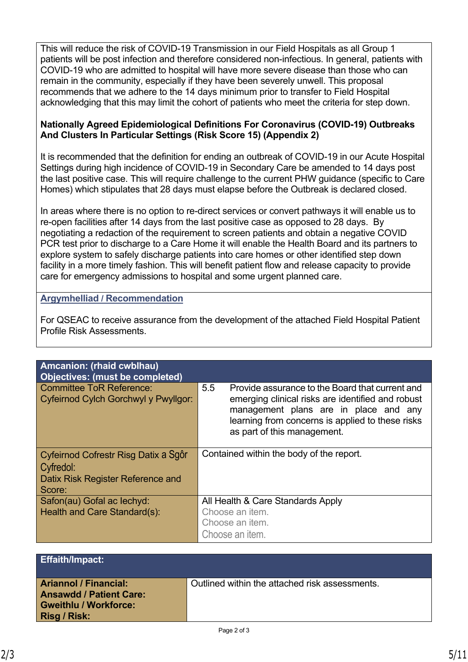This will reduce the risk of COVID-19 Transmission in our Field Hospitals as all Group 1 patients will be post infection and therefore considered non-infectious. In general, patients with COVID-19 who are admitted to hospital will have more severe disease than those who can remain in the community, especially if they have been severely unwell. This proposal recommends that we adhere to the 14 days minimum prior to transfer to Field Hospital acknowledging that this may limit the cohort of patients who meet the criteria for step down.

## **Nationally Agreed Epidemiological Definitions For Coronavirus (COVID-19) Outbreaks And Clusters In Particular Settings (Risk Score 15) (Appendix 2)**

It is recommended that the definition for ending an outbreak of COVID-19 in our Acute Hospital Settings during high incidence of COVID-19 in Secondary Care be amended to 14 days post the last positive case. This will require challenge to the current PHW guidance (specific to Care Homes) which stipulates that 28 days must elapse before the Outbreak is declared closed.

In areas where there is no option to re-direct services or convert pathways it will enable us to re-open facilities after 14 days from the last positive case as opposed to 28 days. By negotiating a redaction of the requirement to screen patients and obtain a negative COVID PCR test prior to discharge to a Care Home it will enable the Health Board and its partners to explore system to safely discharge patients into care homes or other identified step down facility in a more timely fashion. This will benefit patient flow and release capacity to provide care for emergency admissions to hospital and some urgent planned care.

## **Argymhelliad / Recommendation**

For QSEAC to receive assurance from the development of the attached Field Hospital Patient Profile Risk Assessments.

| <b>Amcanion: (rhaid cwblhau)</b><br>Objectives: (must be completed)     |                                                                                                                                                                                                                                         |
|-------------------------------------------------------------------------|-----------------------------------------------------------------------------------------------------------------------------------------------------------------------------------------------------------------------------------------|
| <b>Committee ToR Reference:</b><br>Cyfeirnod Cylch Gorchwyl y Pwyllgor: | 5.5<br>Provide assurance to the Board that current and<br>emerging clinical risks are identified and robust<br>management plans are in place and any<br>learning from concerns is applied to these risks<br>as part of this management. |
| Cyfeirnod Cofrestr Risg Datix a Sgôr<br>Cyfredol:                       | Contained within the body of the report.                                                                                                                                                                                                |
| Datix Risk Register Reference and<br>Score:                             |                                                                                                                                                                                                                                         |
| Safon(au) Gofal ac lechyd:                                              | All Health & Care Standards Apply                                                                                                                                                                                                       |
| Health and Care Standard(s):                                            | Choose an item.                                                                                                                                                                                                                         |
|                                                                         | Choose an item.                                                                                                                                                                                                                         |
|                                                                         | Choose an item.                                                                                                                                                                                                                         |

| <b>Effaith/Impact:</b>                                                                                                |                                                |
|-----------------------------------------------------------------------------------------------------------------------|------------------------------------------------|
| <b>Ariannol / Financial:</b><br><b>Ansawdd / Patient Care:</b><br><b>Gweithlu / Workforce:</b><br><b>Risg / Risk:</b> | Outlined within the attached risk assessments. |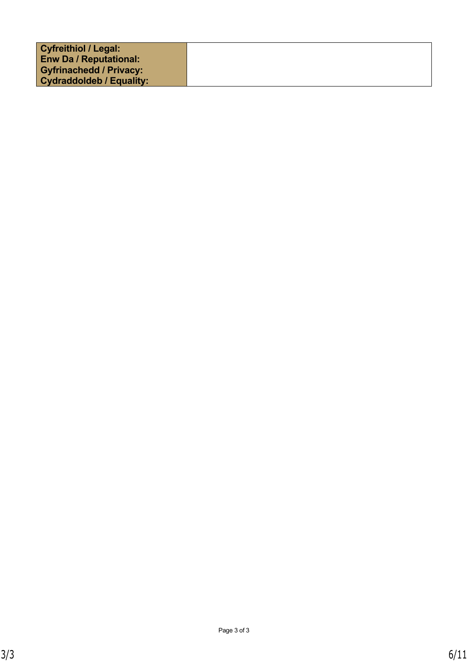| <b>Cyfreithiol / Legal:</b>     |  |
|---------------------------------|--|
| <b>Enw Da / Reputational:</b>   |  |
| <b>Gyfrinachedd / Privacy:</b>  |  |
| <b>Cydraddoldeb / Equality:</b> |  |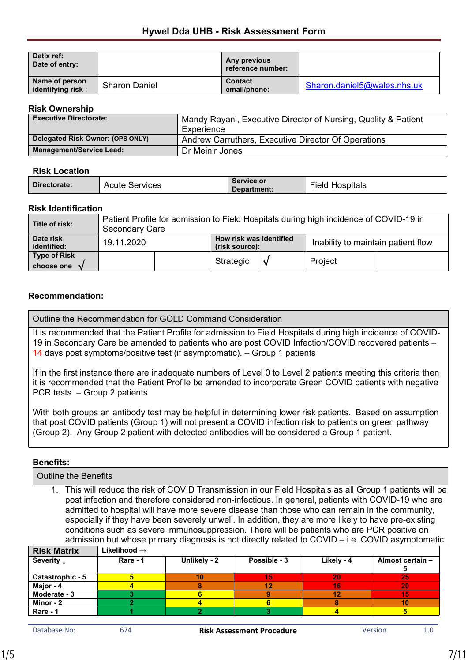| Datix ref:<br>Date of entry:         |                      | Any previous<br>reference number: |                             |
|--------------------------------------|----------------------|-----------------------------------|-----------------------------|
| Name of person<br>identifying risk : | <b>Sharon Daniel</b> | <b>Contact</b><br>email/phone:    | Sharon.daniel5@wales.nhs.uk |

#### **Risk Ownership**

| .                                |                                                                |  |
|----------------------------------|----------------------------------------------------------------|--|
| <b>Executive Directorate:</b>    | Mandy Rayani, Executive Director of Nursing, Quality & Patient |  |
|                                  | Experience                                                     |  |
| Delegated Risk Owner: (OPS ONLY) | Andrew Carruthers, Executive Director Of Operations            |  |
| <b>Management/Service Lead:</b>  | Dr Meinir Jones                                                |  |

#### **Risk Location**

| Directorate: | Acute<br>Services | Service or<br>Department: | $-$<br>. .<br>Hospitals<br>≻iela |
|--------------|-------------------|---------------------------|----------------------------------|
|--------------|-------------------|---------------------------|----------------------------------|

#### **Risk Identification**

| Title of risk:             | Patient Profile for admission to Field Hospitals during high incidence of COVID-19 in<br>Secondary Care |  |           |                                    |         |  |
|----------------------------|---------------------------------------------------------------------------------------------------------|--|-----------|------------------------------------|---------|--|
| Date risk<br>identified:   | How risk was identified<br>19.11.2020<br>(risk source):                                                 |  |           | Inability to maintain patient flow |         |  |
| Type of Risk<br>choose one |                                                                                                         |  | Strategic | $\mathcal{N}$                      | Project |  |

### **Recommendation:**

Outline the Recommendation for GOLD Command Consideration

It is recommended that the Patient Profile for admission to Field Hospitals during high incidence of COVID-19 in Secondary Care be amended to patients who are post COVID Infection/COVID recovered patients – 14 days post symptoms/positive test (if asymptomatic). – Group 1 patients

If in the first instance there are inadequate numbers of Level 0 to Level 2 patients meeting this criteria then it is recommended that the Patient Profile be amended to incorporate Green COVID patients with negative PCR tests – Group 2 patients

With both groups an antibody test may be helpful in determining lower risk patients. Based on assumption that post COVID patients (Group 1) will not present a COVID infection risk to patients on green pathway (Group 2). Any Group 2 patient with detected antibodies will be considered a Group 1 patient.

### **Benefits:**

| <b>Outline the Benefits</b>                                                                                                                                                                                                                                                                                                                                                                                                                                                                                                                                                                                                    |                          |                |              |            |                       |  |  |
|--------------------------------------------------------------------------------------------------------------------------------------------------------------------------------------------------------------------------------------------------------------------------------------------------------------------------------------------------------------------------------------------------------------------------------------------------------------------------------------------------------------------------------------------------------------------------------------------------------------------------------|--------------------------|----------------|--------------|------------|-----------------------|--|--|
| 1. This will reduce the risk of COVID Transmission in our Field Hospitals as all Group 1 patients will be<br>post infection and therefore considered non-infectious. In general, patients with COVID-19 who are<br>admitted to hospital will have more severe disease than those who can remain in the community,<br>especially if they have been severely unwell. In addition, they are more likely to have pre-existing<br>conditions such as severe immunosuppression. There will be patients who are PCR positive on<br>admission but whose primary diagnosis is not directly related to $COVID - i.e. COVID$ asymptomatic |                          |                |              |            |                       |  |  |
| <b>Risk Matrix</b>                                                                                                                                                                                                                                                                                                                                                                                                                                                                                                                                                                                                             | Likelihood $\rightarrow$ |                |              |            |                       |  |  |
| Severity 1                                                                                                                                                                                                                                                                                                                                                                                                                                                                                                                                                                                                                     | Rare - 1                 | Unlikely - 2   | Possible - 3 | Likely - 4 | Almost certain -<br>5 |  |  |
| Catastrophic - 5                                                                                                                                                                                                                                                                                                                                                                                                                                                                                                                                                                                                               | 5                        | 10             | 15           | 20         | 25                    |  |  |
| Major - 4                                                                                                                                                                                                                                                                                                                                                                                                                                                                                                                                                                                                                      | 8<br>12<br>16<br>20<br>4 |                |              |            |                       |  |  |
| Moderate - 3                                                                                                                                                                                                                                                                                                                                                                                                                                                                                                                                                                                                                   | 3.                       | 6              | 9            | 12         | 15                    |  |  |
| Minor - 2                                                                                                                                                                                                                                                                                                                                                                                                                                                                                                                                                                                                                      | $\overline{2}$           | 4              | 6            | 8          | 10                    |  |  |
| Rare - 1                                                                                                                                                                                                                                                                                                                                                                                                                                                                                                                                                                                                                       |                          | $\overline{2}$ | 3            | 4          | 5                     |  |  |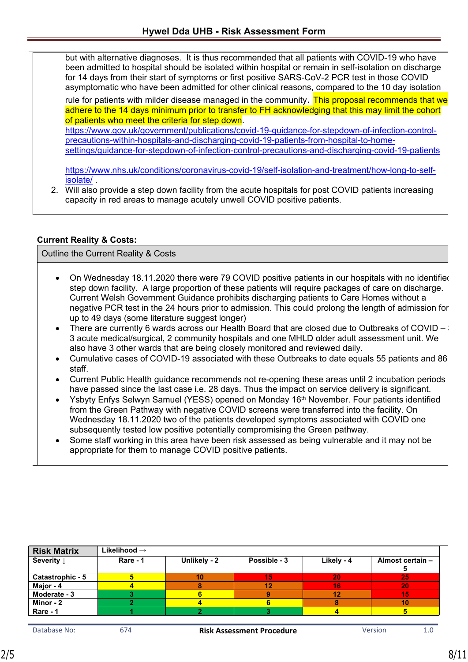but with alternative diagnoses. It is thus recommended that all patients with COVID-19 who have been admitted to hospital should be isolated within hospital or remain in self-isolation on discharge for 14 days from their start of symptoms or first positive SARS-CoV-2 PCR test in those COVID asymptomatic who have been admitted for other clinical reasons, compared to the 10 day isolation

rule for patients with milder disease managed in the community. This proposal recommends that we adhere to the 14 days minimum prior to transfer to FH acknowledging that this may limit the cohort of patients who meet the criteria for step down.

[https://www.gov.uk/government/publications/covid-19-guidance-for-stepdown-of-infection-control](https://www.gov.uk/government/publications/covid-19-guidance-for-stepdown-of-infection-control-precautions-within-hospitals-and-discharging-covid-19-patients-from-hospital-to-home-settings/guidance-for-stepdown-of-infection-control-precautions-and-discharging-covid-19-patients)[precautions-within-hospitals-and-discharging-covid-19-patients-from-hospital-to-home](https://www.gov.uk/government/publications/covid-19-guidance-for-stepdown-of-infection-control-precautions-within-hospitals-and-discharging-covid-19-patients-from-hospital-to-home-settings/guidance-for-stepdown-of-infection-control-precautions-and-discharging-covid-19-patients)[settings/guidance-for-stepdown-of-infection-control-precautions-and-discharging-covid-19-patients](https://www.gov.uk/government/publications/covid-19-guidance-for-stepdown-of-infection-control-precautions-within-hospitals-and-discharging-covid-19-patients-from-hospital-to-home-settings/guidance-for-stepdown-of-infection-control-precautions-and-discharging-covid-19-patients)

[https://www.nhs.uk/conditions/coronavirus-covid-19/self-isolation-and-treatment/how-long-to-self](https://www.nhs.uk/conditions/coronavirus-covid-19/self-isolation-and-treatment/how-long-to-self-isolate/)[isolate/](https://www.nhs.uk/conditions/coronavirus-covid-19/self-isolation-and-treatment/how-long-to-self-isolate/) .

2. Will also provide a step down facility from the acute hospitals for post COVID patients increasing capacity in red areas to manage acutely unwell COVID positive patients.

## **Current Reality & Costs:**

Outline the Current Reality & Costs

- On Wednesday 18.11.2020 there were 79 COVID positive patients in our hospitals with no identified step down facility. A large proportion of these patients will require packages of care on discharge. Current Welsh Government Guidance prohibits discharging patients to Care Homes without a negative PCR test in the 24 hours prior to admission. This could prolong the length of admission for up to 49 days (some literature suggest longer)
- There are currently 6 wards across our Health Board that are closed due to Outbreaks of COVID 3 3 acute medical/surgical, 2 community hospitals and one MHLD older adult assessment unit. We also have 3 other wards that are being closely monitored and reviewed daily.
- Cumulative cases of COVID-19 associated with these Outbreaks to date equals 55 patients and 86 staff.
- Current Public Health guidance recommends not re-opening these areas until 2 incubation periods have passed since the last case i.e. 28 days. Thus the impact on service delivery is significant.
- Ysbyty Enfys Selwyn Samuel (YESS) opened on Monday 16<sup>th</sup> November. Four patients identified from the Green Pathway with negative COVID screens were transferred into the facility. On Wednesday 18.11.2020 two of the patients developed symptoms associated with COVID one subsequently tested low positive potentially compromising the Green pathway.
- Some staff working in this area have been risk assessed as being vulnerable and it may not be appropriate for them to manage COVID positive patients.

| <b>Risk Matrix</b>    | Likelihood $\rightarrow$ |              |              |            |                  |
|-----------------------|--------------------------|--------------|--------------|------------|------------------|
| Severity $\downarrow$ | Rare - 1                 | Unlikely - 2 | Possible - 3 | Likely - 4 | Almost certain - |
|                       |                          |              |              |            |                  |
| Catastrophic - 5      |                          | 10           | 15           | 20         | 25               |
| Major - 4             |                          |              | 12           | 16         | 20               |
| Moderate - 3          |                          |              |              |            | 15               |
| Minor - 2             |                          |              |              |            | 10               |
| Rare - 1              |                          |              |              |            |                  |
|                       |                          |              |              |            |                  |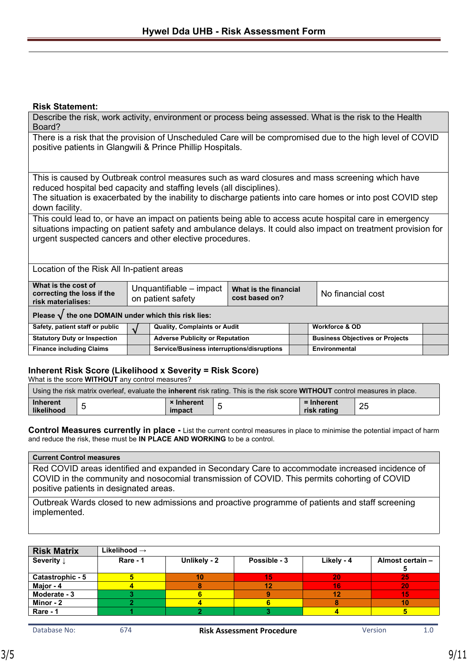### **Risk Statement:**

Describe the risk, work activity, environment or process being assessed. What is the risk to the Health Board?

There is a risk that the provision of Unscheduled Care will be compromised due to the high level of COVID positive patients in Glangwili & Prince Phillip Hospitals.

This is caused by Outbreak control measures such as ward closures and mass screening which have reduced hospital bed capacity and staffing levels (all disciplines).

The situation is exacerbated by the inability to discharge patients into care homes or into post COVID step down facility.

This could lead to, or have an impact on patients being able to access acute hospital care in emergency situations impacting on patient safety and ambulance delays. It could also impact on treatment provision for urgent suspected cancers and other elective procedures.

Location of the Risk All In-patient areas

| What is the cost of<br>correcting the loss if the<br>risk materialises: |  | Unquantifiable – impact<br>on patient safety | What is the financial<br>cost based on? |  | No financial cost                      |  |
|-------------------------------------------------------------------------|--|----------------------------------------------|-----------------------------------------|--|----------------------------------------|--|
| Please $\sqrt{}$ the one DOMAIN under which this risk lies:             |  |                                              |                                         |  |                                        |  |
| Safety, patient staff or public                                         |  | <b>Quality, Complaints or Audit</b>          |                                         |  | <b>Workforce &amp; OD</b>              |  |
| <b>Statutory Duty or Inspection</b>                                     |  | <b>Adverse Publicity or Reputation</b>       |                                         |  | <b>Business Objectives or Projects</b> |  |
| <b>Finance including Claims</b>                                         |  | Service/Business interruptions/disruptions   |                                         |  | Environmental                          |  |

### **Inherent Risk Score (Likelihood x Severity = Risk Score)**

What is the score **WITHOUT** any control measures?

| Using the risk matrix overleaf, evaluate the <b>inherent</b> risk rating. This is the risk score <b>WITHOUT</b> control measures in place. |  |                             |   |                           |          |  |
|--------------------------------------------------------------------------------------------------------------------------------------------|--|-----------------------------|---|---------------------------|----------|--|
| <b>Inherent</b><br>likelihood                                                                                                              |  | <b>× Inherent</b><br>impact | - | = Inherent<br>risk rating | つら<br>تت |  |

**Control Measures currently in place -** List the current control measures in place to minimise the potential impact of harm and reduce the risk, these must be **IN PLACE AND WORKING** to be a control.

#### **Current Control measures**

Red COVID areas identified and expanded in Secondary Care to accommodate increased incidence of COVID in the community and nosocomial transmission of COVID. This permits cohorting of COVID positive patients in designated areas.

Outbreak Wards closed to new admissions and proactive programme of patients and staff screening implemented.

| <b>Risk Matrix</b>    | Likelihood $\rightarrow$ |              |              |            |                  |
|-----------------------|--------------------------|--------------|--------------|------------|------------------|
| Severity $\downarrow$ | Rare - 1                 | Unlikely - 2 | Possible - 3 | Likely - 4 | Almost certain - |
|                       |                          |              |              |            |                  |
| Catastrophic - 5      |                          | 10           | 15           | 20         | 25               |
| Major - 4             |                          |              | 12           | 16         | 20               |
| Moderate - 3          |                          |              |              | 12         | 15               |
| Minor - 2             |                          |              |              |            | 10               |
| Rare - 1              |                          |              |              |            |                  |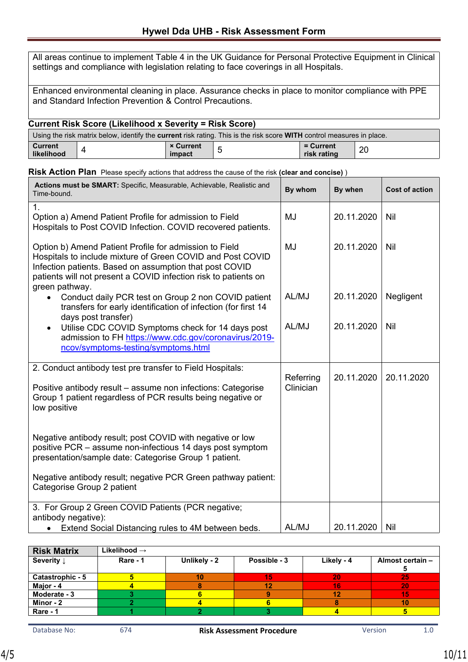All areas continue to implement Table 4 in the UK Guidance for Personal Protective Equipment in Clinical settings and compliance with legislation relating to face coverings in all Hospitals.

Enhanced environmental cleaning in place. Assurance checks in place to monitor compliance with PPE and Standard Infection Prevention & Control Precautions.

### **Current Risk Score (Likelihood x Severity = Risk Score)**

| Using the risk matrix below, identify the <b>current</b> risk rating. This is the risk score <b>WITH</b> control measures in place. |  |                            |   |                          |    |  |
|-------------------------------------------------------------------------------------------------------------------------------------|--|----------------------------|---|--------------------------|----|--|
| <b>Current</b><br>likelihood                                                                                                        |  | <b>× Current</b><br>impact | - | = Current<br>risk rating | 20 |  |

|  |  | Risk Action Plan Please specify actions that address the cause of the risk (clear and concise)) |  |  |
|--|--|-------------------------------------------------------------------------------------------------|--|--|
|--|--|-------------------------------------------------------------------------------------------------|--|--|

| Actions must be SMART: Specific, Measurable, Achievable, Realistic and<br>Time-bound.                                                                                                                                                                                | By whom                | By when    | <b>Cost of action</b> |
|----------------------------------------------------------------------------------------------------------------------------------------------------------------------------------------------------------------------------------------------------------------------|------------------------|------------|-----------------------|
| $\mathbf 1$ .<br>Option a) Amend Patient Profile for admission to Field<br>Hospitals to Post COVID Infection. COVID recovered patients.                                                                                                                              | MJ                     | 20.11.2020 | Nil                   |
| Option b) Amend Patient Profile for admission to Field<br>Hospitals to include mixture of Green COVID and Post COVID<br>Infection patients. Based on assumption that post COVID<br>patients will not present a COVID infection risk to patients on<br>green pathway. | MJ                     | 20.11.2020 | Nil                   |
| Conduct daily PCR test on Group 2 non COVID patient<br>transfers for early identification of infection (for first 14<br>days post transfer)                                                                                                                          | AL/MJ                  | 20.11.2020 | Negligent             |
| Utilise CDC COVID Symptoms check for 14 days post<br>$\bullet$<br>admission to FH https://www.cdc.gov/coronavirus/2019-<br>ncov/symptoms-testing/symptoms.html                                                                                                       | AL/MJ                  | 20.11.2020 | Nil                   |
| 2. Conduct antibody test pre transfer to Field Hospitals:<br>Positive antibody result - assume non infections: Categorise<br>Group 1 patient regardless of PCR results being negative or<br>low positive                                                             | Referring<br>Clinician | 20.11.2020 | 20.11.2020            |
| Negative antibody result; post COVID with negative or low<br>positive PCR - assume non-infectious 14 days post symptom<br>presentation/sample date: Categorise Group 1 patient.                                                                                      |                        |            |                       |
| Negative antibody result; negative PCR Green pathway patient:<br>Categorise Group 2 patient                                                                                                                                                                          |                        |            |                       |
| 3. For Group 2 Green COVID Patients (PCR negative;<br>antibody negative):                                                                                                                                                                                            |                        |            |                       |
| Extend Social Distancing rules to 4M between beds.<br>$\bullet$                                                                                                                                                                                                      | AL/MJ                  | 20.11.2020 | <b>Nil</b>            |

| <b>Risk Matrix</b>    | Likelihood $\rightarrow$ |              |              |            |                          |
|-----------------------|--------------------------|--------------|--------------|------------|--------------------------|
| Severity $\downarrow$ | Rare - 1                 | Unlikely - 2 | Possible - 3 | Likely - 4 | Almost certain -         |
| Catastrophic - 5      |                          |              | 15           | 20         | -25                      |
| Major - 4             |                          |              |              | 16         | 20                       |
| Moderate - 3          |                          |              |              | 12         | 15                       |
| Minor - 2             |                          |              |              |            | $\overline{\mathbf{10}}$ |
| Rare - 1              |                          |              |              |            |                          |
|                       |                          |              |              |            |                          |